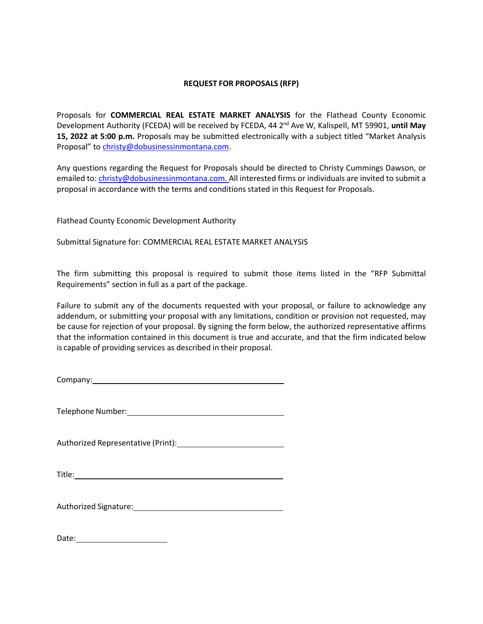## **REQUEST FOR PROPOSALS (RFP)**

Proposals for **COMMERCIAL REAL ESTATE MARKET ANALYSIS** for the Flathead County Economic Development Authority (FCEDA) will be received by FCEDA, 44 2nd Ave W, Kalispell, MT 59901, **until May 15, 2022 at 5:00 p.m.** Proposals may be submitted electronically with a subject titled "Market Analysis Proposal" to [christy@dobusinessinmontana.com.](mailto:christy@dobusinessinmontana.com)

Any questions regarding the Request for Proposals should be directed to Christy Cummings Dawson, or emailed to: [christy@dobusinessinmontana.com. A](mailto:christy@dobusinessinmontana.com.)ll interested firms or individuals are invited to submit a proposal in accordance with the terms and conditions stated in this Request for Proposals.

Flathead County Economic Development Authority

Submittal Signature for: COMMERCIAL REAL ESTATE MARKET ANALYSIS

The firm submitting this proposal is required to submit those items listed in the "RFP Submittal Requirements" section in full as a part of the package.

Failure to submit any of the documents requested with your proposal, or failure to acknowledge any addendum, or submitting your proposal with any limitations, condition or provision not requested, may be cause for rejection of your proposal. By signing the form below, the authorized representative affirms that the information contained in this document is true and accurate, and that the firm indicated below is capable of providing services as described in their proposal.

Company:

Telephone Number:

Authorized Representative (Print):

Title:

Authorized Signature: Management Controllery and Controllery and Controllery and Controllery and Controllery and Controllery and Controllery and Controllery and Controllery and Controllery and Controllery and Controllery a

Date: the contract of the contract of the contract of the contract of the contract of the contract of the contract of the contract of the contract of the contract of the contract of the contract of the contract of the cont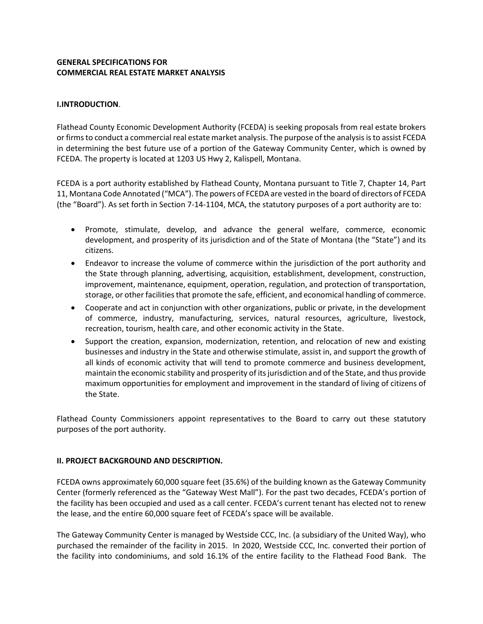# **GENERAL SPECIFICATIONS FOR COMMERCIAL REAL ESTATE MARKET ANALYSIS**

## **I.INTRODUCTION**.

Flathead County Economic Development Authority (FCEDA) is seeking proposals from real estate brokers or firms to conduct a commercial real estate market analysis. The purpose of the analysis is to assist FCEDA in determining the best future use of a portion of the Gateway Community Center, which is owned by FCEDA. The property is located at 1203 US Hwy 2, Kalispell, Montana.

FCEDA is a port authority established by Flathead County, Montana pursuant to Title 7, Chapter 14, Part 11, Montana Code Annotated ("MCA"). The powers of FCEDA are vested in the board of directors of FCEDA (the "Board"). As set forth in Section 7-14-1104, MCA, the statutory purposes of a port authority are to:

- Promote, stimulate, develop, and advance the general welfare, commerce, economic development, and prosperity of its jurisdiction and of the State of Montana (the "State") and its citizens.
- Endeavor to increase the volume of commerce within the jurisdiction of the port authority and the State through planning, advertising, acquisition, establishment, development, construction, improvement, maintenance, equipment, operation, regulation, and protection of transportation, storage, or other facilities that promote the safe, efficient, and economical handling of commerce.
- Cooperate and act in conjunction with other organizations, public or private, in the development of commerce, industry, manufacturing, services, natural resources, agriculture, livestock, recreation, tourism, health care, and other economic activity in the State.
- Support the creation, expansion, modernization, retention, and relocation of new and existing businesses and industry in the State and otherwise stimulate, assist in, and support the growth of all kinds of economic activity that will tend to promote commerce and business development, maintain the economic stability and prosperity of its jurisdiction and of the State, and thus provide maximum opportunities for employment and improvement in the standard of living of citizens of the State.

Flathead County Commissioners appoint representatives to the Board to carry out these statutory purposes of the port authority.

## **II. PROJECT BACKGROUND AND DESCRIPTION.**

FCEDA owns approximately 60,000 square feet (35.6%) of the building known as the Gateway Community Center (formerly referenced as the "Gateway West Mall"). For the past two decades, FCEDA's portion of the facility has been occupied and used as a call center. FCEDA's current tenant has elected not to renew the lease, and the entire 60,000 square feet of FCEDA's space will be available.

The Gateway Community Center is managed by Westside CCC, Inc. (a subsidiary of the United Way), who purchased the remainder of the facility in 2015. In 2020, Westside CCC, Inc. converted their portion of the facility into condominiums, and sold 16.1% of the entire facility to the Flathead Food Bank. The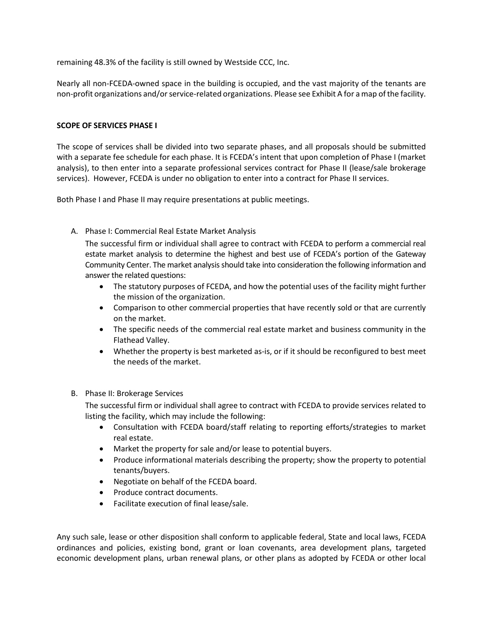remaining 48.3% of the facility is still owned by Westside CCC, Inc.

Nearly all non-FCEDA-owned space in the building is occupied, and the vast majority of the tenants are non-profit organizations and/or service-related organizations. Please see Exhibit A for a map of the facility.

#### **SCOPE OF SERVICES PHASE I**

The scope of services shall be divided into two separate phases, and all proposals should be submitted with a separate fee schedule for each phase. It is FCEDA's intent that upon completion of Phase I (market analysis), to then enter into a separate professional services contract for Phase II (lease/sale brokerage services). However, FCEDA is under no obligation to enter into a contract for Phase II services.

Both Phase I and Phase II may require presentations at public meetings.

A. Phase I: Commercial Real Estate Market Analysis

The successful firm or individual shall agree to contract with FCEDA to perform a commercial real estate market analysis to determine the highest and best use of FCEDA's portion of the Gateway Community Center. The market analysis should take into consideration the following information and answer the related questions:

- The statutory purposes of FCEDA, and how the potential uses of the facility might further the mission of the organization.
- Comparison to other commercial properties that have recently sold or that are currently on the market.
- The specific needs of the commercial real estate market and business community in the Flathead Valley.
- Whether the property is best marketed as-is, or if it should be reconfigured to best meet the needs of the market.

#### B. Phase II: Brokerage Services

The successful firm or individual shall agree to contract with FCEDA to provide services related to listing the facility, which may include the following:

- Consultation with FCEDA board/staff relating to reporting efforts/strategies to market real estate.
- Market the property for sale and/or lease to potential buyers.
- Produce informational materials describing the property; show the property to potential tenants/buyers.
- Negotiate on behalf of the FCEDA board.
- Produce contract documents.
- Facilitate execution of final lease/sale.

Any such sale, lease or other disposition shall conform to applicable federal, State and local laws, FCEDA ordinances and policies, existing bond, grant or loan covenants, area development plans, targeted economic development plans, urban renewal plans, or other plans as adopted by FCEDA or other local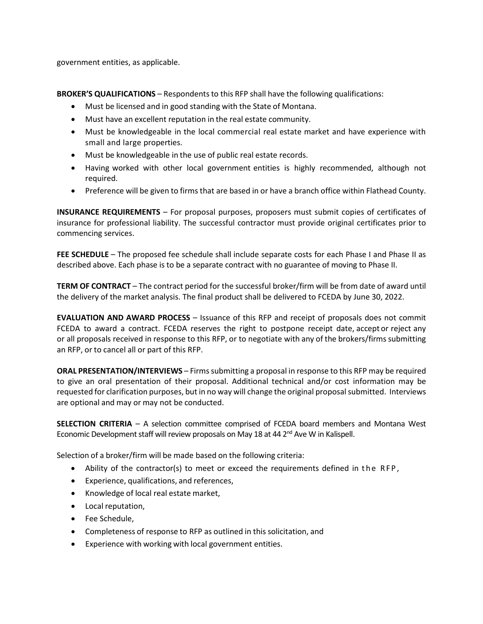government entities, as applicable.

**BROKER'S QUALIFICATIONS** – Respondents to this RFP shall have the following qualifications:

- Must be licensed and in good standing with the State of Montana.
- Must have an excellent reputation in the real estate community.
- Must be knowledgeable in the local commercial real estate market and have experience with small and large properties.
- Must be knowledgeable in the use of public real estate records.
- Having worked with other local government entities is highly recommended, although not required.
- Preference will be given to firms that are based in or have a branch office within Flathead County.

**INSURANCE REQUIREMENTS** – For proposal purposes, proposers must submit copies of certificates of insurance for professional liability. The successful contractor must provide original certificates prior to commencing services.

**FEE SCHEDULE** – The proposed fee schedule shall include separate costs for each Phase I and Phase II as described above. Each phase is to be a separate contract with no guarantee of moving to Phase II.

**TERM OF CONTRACT** – The contract period for the successful broker/firm will be from date of award until the delivery of the market analysis. The final product shall be delivered to FCEDA by June 30, 2022.

**EVALUATION AND AWARD PROCESS** – Issuance of this RFP and receipt of proposals does not commit FCEDA to award a contract. FCEDA reserves the right to postpone receipt date, accept or reject any or all proposals received in response to this RFP, or to negotiate with any of the brokers/firmssubmitting an RFP, or to cancel all or part of this RFP.

**ORAL PRESENTATION/INTERVIEWS** – Firms submitting a proposal in response to this RFP may be required to give an oral presentation of their proposal. Additional technical and/or cost information may be requested for clarification purposes, but in no way will change the original proposalsubmitted. Interviews are optional and may or may not be conducted.

**SELECTION CRITERIA** – A selection committee comprised of FCEDA board members and Montana West Economic Development staff will review proposals on May 18 at 44  $2<sup>nd</sup>$  Ave W in Kalispell.

Selection of a broker/firm will be made based on the following criteria:

- Ability of the contractor(s) to meet or exceed the requirements defined in the RFP,
- Experience, qualifications, and references,
- Knowledge of local real estate market,
- Local reputation,
- Fee Schedule,
- Completeness of response to RFP as outlined in this solicitation, and
- Experience with working with local government entities.